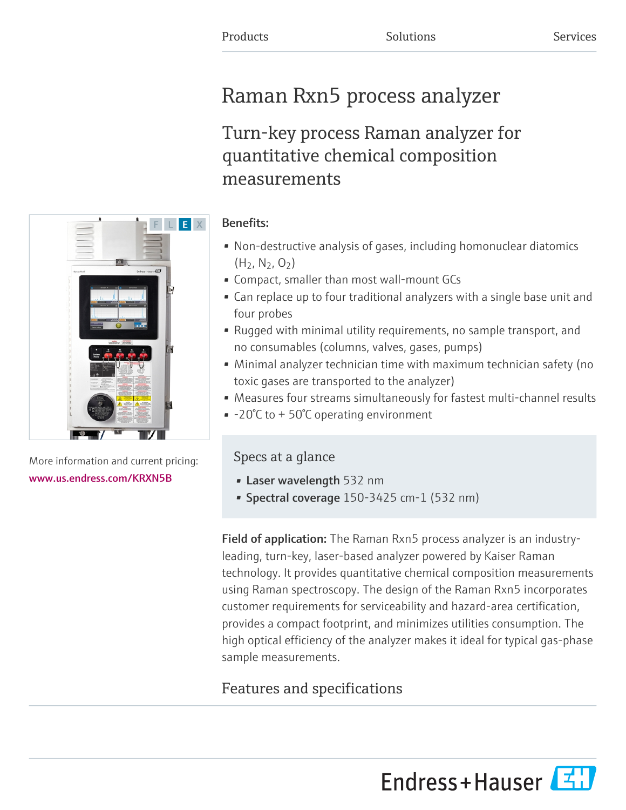# Raman Rxn5 process analyzer

# Turn-key process Raman analyzer for quantitative chemical composition measurements



More information and current pricing: [www.us.endress.com/KRXN5B](https://www.us.endress.com/KRXN5B)

## Benefits:

- Non-destructive analysis of gases, including homonuclear diatomics  $(H_2, N_2, O_2)$
- Compact, smaller than most wall-mount GCs
- Can replace up to four traditional analyzers with a single base unit and four probes
- Rugged with minimal utility requirements, no sample transport, and no consumables (columns, valves, gases, pumps)
- Minimal analyzer technician time with maximum technician safety (no toxic gases are transported to the analyzer)
- Measures four streams simultaneously for fastest multi-channel results
- -20°C to + 50°C operating environment

## Specs at a glance

- Laser wavelength 532 nm
- Spectral coverage 150-3425 cm-1 (532 nm)

Field of application: The Raman Rxn5 process analyzer is an industryleading, turn-key, laser-based analyzer powered by Kaiser Raman technology. It provides quantitative chemical composition measurements using Raman spectroscopy. The design of the Raman Rxn5 incorporates customer requirements for serviceability and hazard-area certification, provides a compact footprint, and minimizes utilities consumption. The high optical efficiency of the analyzer makes it ideal for typical gas-phase sample measurements.

## Features and specifications



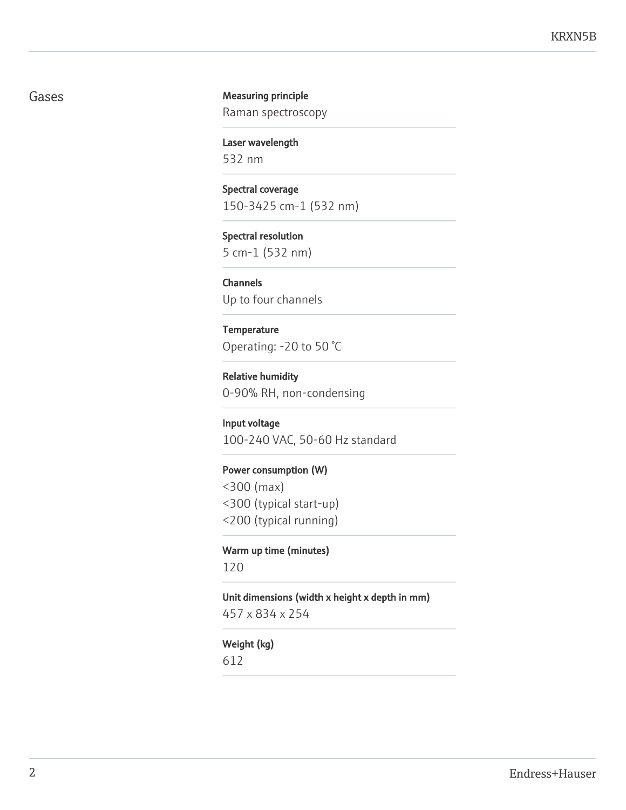## Gases **Gases Measuring principle**

Raman spectroscopy

Laser wavelength 532 nm

Spectral coverage 150-3425 cm-1 (532 nm)

Spectral resolution 5 cm-1 (532 nm)

Channels Up to four channels

## **Temperature**

Operating: -20 to 50 °C

Relative humidity 0-90% RH, non-condensing

Input voltage

100-240 VAC, 50-60 Hz standard

## Power consumption (W)

<300 (max)

- <300 (typical start-up)
- <200 (typical running)

#### Warm up time (minutes)

120

Unit dimensions (width x height x depth in mm)

457 x 834 x 254

## Weight (kg)

612